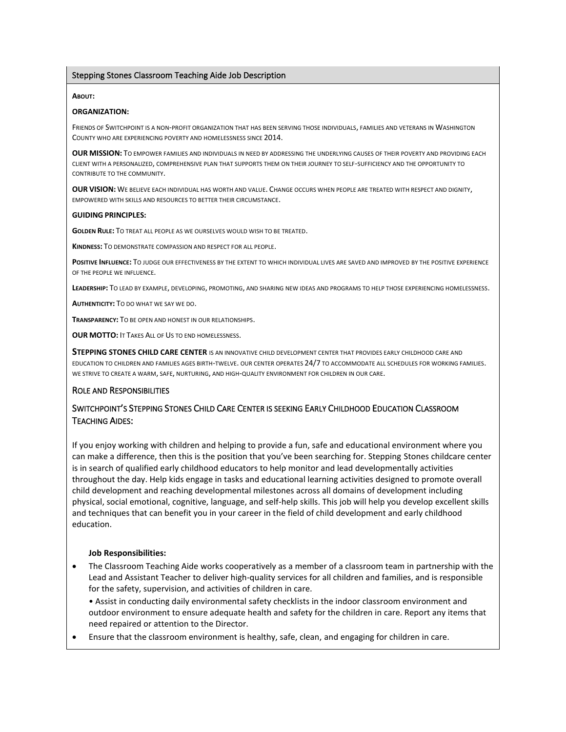### Stepping Stones Classroom Teaching Aide Job Description

#### **ABOUT:**

### **ORGANIZATION:**

FRIENDS OF SWITCHPOINT IS A NON-PROFIT ORGANIZATION THAT HAS BEEN SERVING THOSE INDIVIDUALS, FAMILIES AND VETERANS IN WASHINGTON COUNTY WHO ARE EXPERIENCING POVERTY AND HOMELESSNESS SINCE 2014.

**OUR MISSION:** TO EMPOWER FAMILIES AND INDIVIDUALS IN NEED BY ADDRESSING THE UNDERLYING CAUSES OF THEIR POVERTY AND PROVIDING EACH CLIENT WITH A PERSONALIZED, COMPREHENSIVE PLAN THAT SUPPORTS THEM ON THEIR JOURNEY TO SELF-SUFFICIENCY AND THE OPPORTUNITY TO CONTRIBUTE TO THE COMMUNITY.

**OUR VISION:** WE BELIEVE EACH INDIVIDUAL HAS WORTH AND VALUE. CHANGE OCCURS WHEN PEOPLE ARE TREATED WITH RESPECT AND DIGNITY, EMPOWERED WITH SKILLS AND RESOURCES TO BETTER THEIR CIRCUMSTANCE.

#### **GUIDING PRINCIPLES:**

**GOLDEN RULE:** TO TREAT ALL PEOPLE AS WE OURSELVES WOULD WISH TO BE TREATED.

**KINDNESS:** TO DEMONSTRATE COMPASSION AND RESPECT FOR ALL PEOPLE.

**POSITIVE INFLUENCE:** TO JUDGE OUR EFFECTIVENESS BY THE EXTENT TO WHICH INDIVIDUAL LIVES ARE SAVED AND IMPROVED BY THE POSITIVE EXPERIENCE OF THE PEOPLE WE INFLUENCE.

**LEADERSHIP:** TO LEAD BY EXAMPLE, DEVELOPING, PROMOTING, AND SHARING NEW IDEAS AND PROGRAMS TO HELP THOSE EXPERIENCING HOMELESSNESS.

**AUTHENTICITY:** TO DO WHAT WE SAY WE DO.

**TRANSPARENCY:** TO BE OPEN AND HONEST IN OUR RELATIONSHIPS.

**OUR MOTTO:** IT TAKES ALL OF US TO END HOMELESSNESS.

**STEPPING STONES CHILD CARE CENTER** IS AN INNOVATIVE CHILD DEVELOPMENT CENTER THAT PROVIDES EARLY CHILDHOOD CARE AND EDUCATION TO CHILDREN AND FAMILIES AGES BIRTH-TWELVE. OUR CENTER OPERATES 24/7 TO ACCOMMODATE ALL SCHEDULES FOR WORKING FAMILIES. WE STRIVE TO CREATE A WARM, SAFE, NURTURING, AND HIGH-QUALITY ENVIRONMENT FOR CHILDREN IN OUR CARE.

### ROLE AND RESPONSIBILITIES

## SWITCHPOINT'S STEPPING STONES CHILD CARE CENTER IS SEEKING EARLY CHILDHOOD EDUCATION CLASSROOM TEACHING AIDES:

If you enjoy working with children and helping to provide a fun, safe and educational environment where you can make a difference, then this is the position that you've been searching for. Stepping Stones childcare center is in search of qualified early childhood educators to help monitor and lead developmentally activities throughout the day. Help kids engage in tasks and educational learning activities designed to promote overall child development and reaching developmental milestones across all domains of development including physical, social emotional, cognitive, language, and self-help skills. This job will help you develop excellent skills and techniques that can benefit you in your career in the field of child development and early childhood education.

#### **Job Responsibilities:**

- The Classroom Teaching Aide works cooperatively as a member of a classroom team in partnership with the Lead and Assistant Teacher to deliver high-quality services for all children and families, and is responsible for the safety, supervision, and activities of children in care.
	- Assist in conducting daily environmental safety checklists in the indoor classroom environment and outdoor environment to ensure adequate health and safety for the children in care. Report any items that need repaired or attention to the Director.
- Ensure that the classroom environment is healthy, safe, clean, and engaging for children in care.